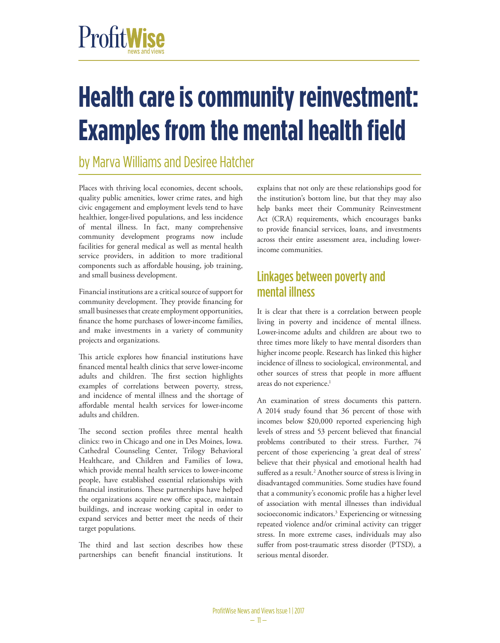# ProfitWise

# **Health care is community reinvestment: Examples from the mental health field**

# by Marva Williams and Desiree Hatcher

<span id="page-0-0"></span>Places with thriving local economies, decent schools, quality public amenities, lower crime rates, and high civic engagement and employment levels tend to have healthier, longer-lived populations, and less incidence of mental illness. In fact, many comprehensive community development programs now include facilities for general medical as well as mental health service providers, in addition to more traditional components such as affordable housing, job training, and small business development.

Financial institutions are a critical source of support for community development. They provide financing for small businesses that create employment opportunities, finance the home purchases of lower-income families, and make investments in a variety of community projects and organizations.

This article explores how financial institutions have financed mental health clinics that serve lower-income adults and children. The first section highlights examples of correlations between poverty, stress, and incidence of mental illness and the shortage of affordable mental health services for lower-income adults and children.

The second section profiles three mental health clinics: two in Chicago and one in Des Moines, Iowa. Cathedral Counseling Center, Trilogy Behavioral Healthcare, and Children and Families of Iowa, which provide mental health services to lower-income people, have established essential relationships with financial institutions. These partnerships have helped the organizations acquire new office space, maintain buildings, and increase working capital in order to expand services and better meet the needs of their target populations.

The third and last section describes how these partnerships can benefit financial institutions. It

explains that not only are these relationships good for the institution's bottom line, but that they may also help banks meet their Community Reinvestment Act (CRA) requirements, which encourages banks to provide financial services, loans, and investments across their entire assessment area, including lowerincome communities.

## Linkages between poverty and mental illness

It is clear that there is a correlation between people living in poverty and incidence of mental illness. Lower-income adults and children are about two to three times more likely to have mental disorders than higher income people. Research has linked this higher incidence of illness to sociological, environmental, and other sources of stress that people in more affluent areas do not experience.<sup>1</sup>

<span id="page-0-3"></span><span id="page-0-2"></span><span id="page-0-1"></span>An examination of stress documents this pattern. A 2014 study found that 36 percent of those with incomes below \$20,000 reported experiencing high levels of stress and 53 percent believed that financial problems contributed to their stress. Further, 74 percent of those experiencing 'a great deal of stress' believe that their physical and emotional health had suffered as a result.<sup>2</sup> Another source of stress is living in disadvantaged communities. Some studies have found that a community's economic profile has a higher level of association with mental illnesses than individual socioeconomic indicators.<sup>3</sup> Experiencing or witnessing repeated violence and/or criminal activity can trigger stress. In more extreme cases, individuals may also suffer from post-traumatic stress disorder (PTSD), a serious mental disorder.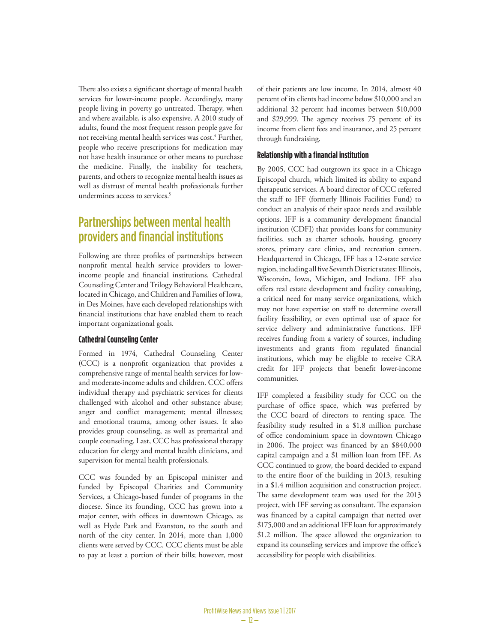<span id="page-1-0"></span>There also exists a significant shortage of mental health services for lower-income people. Accordingly, many people living in poverty go untreated. Therapy, when and where available, is also expensive. A 2010 study of adults, found the most frequent reason people gave for not receiving mental health services was cost.<sup>[4](#page-4-3)</sup> Further, people who receive prescriptions for medication may not have health insurance or other means to purchase the medicine. Finally, the inability for teachers, parents, and others to recognize mental health issues as well as distrust of mental health professionals further undermines access to services.<sup>5</sup>

## <span id="page-1-1"></span>Partnerships between mental health providers and financial institutions

Following are three profiles of partnerships between nonprofit mental health service providers to lowerincome people and financial institutions. Cathedral Counseling Center and Trilogy Behavioral Healthcare, located in Chicago, and Children and Families of Iowa, in Des Moines, have each developed relationships with financial institutions that have enabled them to reach important organizational goals.

#### **Cathedral Counseling Center**

Formed in 1974, Cathedral Counseling Center (CCC) is a nonprofit organization that provides a comprehensive range of mental health services for lowand moderate-income adults and children. CCC offers individual therapy and psychiatric services for clients challenged with alcohol and other substance abuse; anger and conflict management; mental illnesses; and emotional trauma, among other issues. It also provides group counseling, as well as premarital and couple counseling. Last, CCC has professional therapy education for clergy and mental health clinicians, and supervision for mental health professionals.

CCC was founded by an Episcopal minister and funded by Episcopal Charities and Community Services, a Chicago-based funder of programs in the diocese. Since its founding, CCC has grown into a major center, with offices in downtown Chicago, as well as Hyde Park and Evanston, to the south and north of the city center. In 2014, more than 1,000 clients were served by CCC. CCC clients must be able to pay at least a portion of their bills; however, most of their patients are low income. In 2014, almost 40 percent of its clients had income below \$10,000 and an additional 32 percent had incomes between \$10,000 and \$29,999. The agency receives 75 percent of its income from client fees and insurance, and 25 percent through fundraising.

#### **Relationship with a financial institution**

By 2005, CCC had outgrown its space in a Chicago Episcopal church, which limited its ability to expand therapeutic services. A board director of CCC referred the staff to IFF (formerly Illinois Facilities Fund) to conduct an analysis of their space needs and available options. IFF is a community development financial institution (CDFI) that provides loans for community facilities, such as charter schools, housing, grocery stores, primary care clinics, and recreation centers. Headquartered in Chicago, IFF has a 12-state service region, including all five Seventh District states: Illinois, Wisconsin, Iowa, Michigan, and Indiana. IFF also offers real estate development and facility consulting, a critical need for many service organizations, which may not have expertise on staff to determine overall facility feasibility, or even optimal use of space for service delivery and administrative functions. IFF receives funding from a variety of sources, including investments and grants from regulated financial institutions, which may be eligible to receive CRA credit for IFF projects that benefit lower-income communities.

IFF completed a feasibility study for CCC on the purchase of office space, which was preferred by the CCC board of directors to renting space. The feasibility study resulted in a \$1.8 million purchase of office condominium space in downtown Chicago in 2006. The project was financed by an \$840,000 capital campaign and a \$1 million loan from IFF. As CCC continued to grow, the board decided to expand to the entire floor of the building in 2013, resulting in a \$1.4 million acquisition and construction project. The same development team was used for the 2013 project, with IFF serving as consultant. The expansion was financed by a capital campaign that netted over \$175,000 and an additional IFF loan for approximately \$1.2 million. The space allowed the organization to expand its counseling services and improve the office's accessibility for people with disabilities.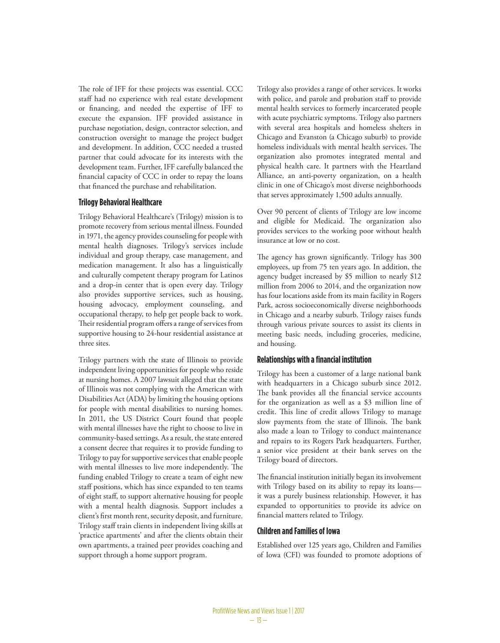The role of IFF for these projects was essential. CCC staff had no experience with real estate development or financing, and needed the expertise of IFF to execute the expansion. IFF provided assistance in purchase negotiation, design, contractor selection, and construction oversight to manage the project budget and development. In addition, CCC needed a trusted partner that could advocate for its interests with the development team. Further, IFF carefully balanced the financial capacity of CCC in order to repay the loans that financed the purchase and rehabilitation.

#### **Trilogy Behavioral Healthcare**

Trilogy Behavioral Healthcare's (Trilogy) mission is to promote recovery from serious mental illness. Founded in 1971, the agency provides counseling for people with mental health diagnoses. Trilogy's services include individual and group therapy, case management, and medication management. It also has a linguistically and culturally competent therapy program for Latinos and a drop-in center that is open every day. Trilogy also provides supportive services, such as housing, housing advocacy, employment counseling, and occupational therapy, to help get people back to work. Their residential program offers a range of services from supportive housing to 24-hour residential assistance at three sites.

Trilogy partners with the state of Illinois to provide independent living opportunities for people who reside at nursing homes. A 2007 lawsuit alleged that the state of Illinois was not complying with the American with Disabilities Act (ADA) by limiting the housing options for people with mental disabilities to nursing homes. In 2011, the US District Court found that people with mental illnesses have the right to choose to live in community-based settings. As a result, the state entered a consent decree that requires it to provide funding to Trilogy to pay for supportive services that enable people with mental illnesses to live more independently. The funding enabled Trilogy to create a team of eight new staff positions, which has since expanded to ten teams of eight staff, to support alternative housing for people with a mental health diagnosis. Support includes a client's first month rent, security deposit, and furniture. Trilogy staff train clients in independent living skills at 'practice apartments' and after the clients obtain their own apartments, a trained peer provides coaching and support through a home support program.

Trilogy also provides a range of other services. It works with police, and parole and probation staff to provide mental health services to formerly incarcerated people with acute psychiatric symptoms. Trilogy also partners with several area hospitals and homeless shelters in Chicago and Evanston (a Chicago suburb) to provide homeless individuals with mental health services. The organization also promotes integrated mental and physical health care. It partners with the Heartland Alliance, an anti-poverty organization, on a health clinic in one of Chicago's most diverse neighborhoods that serves approximately 1,500 adults annually.

Over 90 percent of clients of Trilogy are low income and eligible for Medicaid. The organization also provides services to the working poor without health insurance at low or no cost.

The agency has grown significantly. Trilogy has 300 employees, up from 75 ten years ago. In addition, the agency budget increased by \$5 million to nearly \$12 million from 2006 to 2014, and the organization now has four locations aside from its main facility in Rogers Park, across socioeconomically diverse neighborhoods in Chicago and a nearby suburb. Trilogy raises funds through various private sources to assist its clients in meeting basic needs, including groceries, medicine, and housing.

#### **Relationships with a financial institution**

Trilogy has been a customer of a large national bank with headquarters in a Chicago suburb since 2012. The bank provides all the financial service accounts for the organization as well as a \$3 million line of credit. This line of credit allows Trilogy to manage slow payments from the state of Illinois. The bank also made a loan to Trilogy to conduct maintenance and repairs to its Rogers Park headquarters. Further, a senior vice president at their bank serves on the Trilogy board of directors.

The financial institution initially began its involvement with Trilogy based on its ability to repay its loans it was a purely business relationship. However, it has expanded to opportunities to provide its advice on financial matters related to Trilogy.

#### **Children and Families of Iowa**

Established over 125 years ago, Children and Families of Iowa (CFI) was founded to promote adoptions of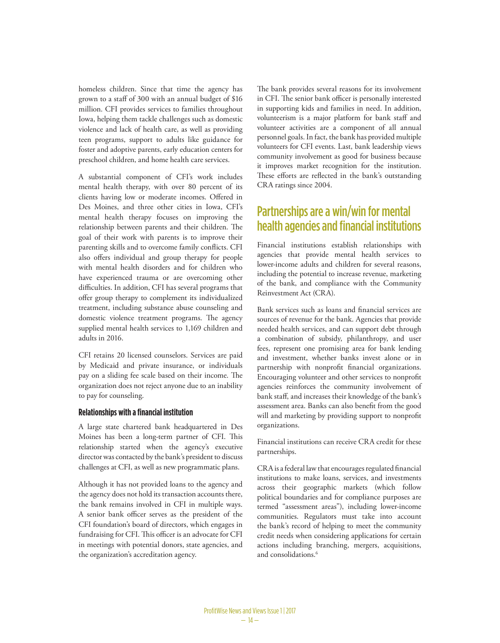homeless children. Since that time the agency has grown to a staff of 300 with an annual budget of \$16 million. CFI provides services to families throughout Iowa, helping them tackle challenges such as domestic violence and lack of health care, as well as providing teen programs, support to adults like guidance for foster and adoptive parents, early education centers for preschool children, and home health care services.

A substantial component of CFI's work includes mental health therapy, with over 80 percent of its clients having low or moderate incomes. Offered in Des Moines, and three other cities in Iowa, CFI's mental health therapy focuses on improving the relationship between parents and their children. The goal of their work with parents is to improve their parenting skills and to overcome family conflicts. CFI also offers individual and group therapy for people with mental health disorders and for children who have experienced trauma or are overcoming other difficulties. In addition, CFI has several programs that offer group therapy to complement its individualized treatment, including substance abuse counseling and domestic violence treatment programs. The agency supplied mental health services to 1,169 children and adults in 2016.

CFI retains 20 licensed counselors. Services are paid by Medicaid and private insurance, or individuals pay on a sliding fee scale based on their income. The organization does not reject anyone due to an inability to pay for counseling.

#### **Relationships with a financial institution**

A large state chartered bank headquartered in Des Moines has been a long-term partner of CFI. This relationship started when the agency's executive director was contacted by the bank's president to discuss challenges at CFI, as well as new programmatic plans.

Although it has not provided loans to the agency and the agency does not hold its transaction accounts there, the bank remains involved in CFI in multiple ways. A senior bank officer serves as the president of the CFI foundation's board of directors, which engages in fundraising for CFI. This officer is an advocate for CFI in meetings with potential donors, state agencies, and the organization's accreditation agency.

The bank provides several reasons for its involvement in CFI. The senior bank officer is personally interested in supporting kids and families in need. In addition, volunteerism is a major platform for bank staff and volunteer activities are a component of all annual personnel goals. In fact, the bank has provided multiple volunteers for CFI events. Last, bank leadership views community involvement as good for business because it improves market recognition for the institution. These efforts are reflected in the bank's outstanding CRA ratings since 2004.

## Partnerships are a win/win for mental health agencies and financial institutions

Financial institutions establish relationships with agencies that provide mental health services to lower-income adults and children for several reasons, including the potential to increase revenue, marketing of the bank, and compliance with the Community Reinvestment Act (CRA).

Bank services such as loans and financial services are sources of revenue for the bank. Agencies that provide needed health services, and can support debt through a combination of subsidy, philanthropy, and user fees, represent one promising area for bank lending and investment, whether banks invest alone or in partnership with nonprofit financial organizations. Encouraging volunteer and other services to nonprofit agencies reinforces the community involvement of bank staff, and increases their knowledge of the bank's assessment area. Banks can also benefit from the good will and marketing by providing support to nonprofit organizations.

Financial institutions can receive CRA credit for these partnerships.

<span id="page-3-0"></span>CRA is a federal law that encourages regulated financial institutions to make loans, services, and investments across their geographic markets (which follow political boundaries and for compliance purposes are termed "assessment areas"), including lower-income communities. Regulators must take into account the bank's record of helping to meet the community credit needs when considering applications for certain actions including branching, mergers, acquisitions, and consolidations.<sup>[6](#page-4-5)</sup>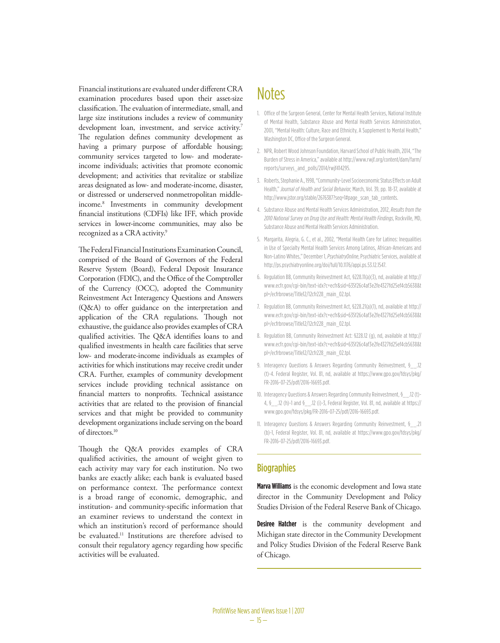<span id="page-4-11"></span>Financial institutions are evaluated under different CRA examination procedures based upon their asset-size classification. The evaluation of intermediate, small, and large size institutions includes a review of community development loan, investment, and service activity.<sup>7</sup> The regulation defines community development as having a primary purpose of affordable housing; community services targeted to low- and moderateincome individuals; activities that promote economic development; and activities that revitalize or stabilize areas designated as low- and moderate-income, disaster, or distressed or underserved nonmetropolitan middleincome.[8](#page-4-7) Investments in community development financial institutions (CDFIs) like IFF, which provide services in lower-income communities, may also be recognized as a CRA activity.<sup>9</sup>

<span id="page-4-13"></span><span id="page-4-12"></span>The Federal Financial Institutions Examination Council, comprised of the Board of Governors of the Federal Reserve System (Board), Federal Deposit Insurance Corporation (FDIC), and the Office of the Comptroller of the Currency (OCC), adopted the Community Reinvestment Act Interagency Questions and Answers (Q&A) to offer guidance on the interpretation and application of the CRA regulations. Though not exhaustive, the guidance also provides examples of CRA qualified activities. The Q&A identifies loans to and qualified investments in health care facilities that serve low- and moderate-income individuals as examples of activities for which institutions may receive credit under CRA. Further, examples of community development services include providing technical assistance on financial matters to nonprofits. Technical assistance activities that are related to the provision of financial services and that might be provided to community development organizations include serving on the board of directors[.10](#page-4-9)

<span id="page-4-14"></span>Though the Q&A provides examples of CRA qualified activities, the amount of weight given to each activity may vary for each institution. No two banks are exactly alike; each bank is evaluated based on performance context. The performance context is a broad range of economic, demographic, and institution- and community-specific information that an examiner reviews to understand the context in which an institution's record of performance should be evaluated[.11](#page-4-10) Institutions are therefore advised to consult their regulatory agency regarding how specific activities will be evaluated.

# **Notes**

- <span id="page-4-0"></span>1. [Offi](#page-0-0)ce of the Surgeon General, Center for Mental Health Services, National Institute of Mental Health, Substance Abuse and Mental Health Services Administration, 2001, "Mental Health: Culture, Race and Ethnicity, A Supplement to Mental Health," Washington DC, Office of the Surgeon General.
- <span id="page-4-1"></span>2. [NPR,](#page-0-1) Robert Wood Johnson Foundation, Harvard School of Public Health, 2014, "The Burden of Stress in America," available at [http://www.rwjf.org/content/dam/farm/](http://www.rwjf.org/content/dam/farm/reports/surveys_and_polls/2014/rwjf414295) [reports/surveys\\_and\\_polls/2014/rwjf414295](http://www.rwjf.org/content/dam/farm/reports/surveys_and_polls/2014/rwjf414295).
- <span id="page-4-2"></span>3. [Roberts,](#page-0-2) Stephanie A., 1998, "Community-Level Socioeconomic Status Effects on Adult Health," *Journal of Health and Social Behavior*, March, Vol. 39, pp. 18-37, available at [http://www.jstor.org/stable/2676387?seq=1#page\\_scan\\_tab\\_contents](http://www.jstor.org/stable/2676387?seq=1#page_scan_tab_contents).
- <span id="page-4-3"></span>4. [Substance](#page-1-0) Abuse and Mental Health Services Administration, 2012, *Results from the 2010 National Survey on Drug Use and Health: Mental Health Findings*, Rockville, MD, Substance Abuse and Mental Health Services Administration.
- <span id="page-4-4"></span>5. [Margarita](#page-1-1), Alegria, G. C., et al., 2002, "Mental Health Care for Latinos: Inequalities in Use of Specialty Mental Health Services Among Latinos, African-Americans and Non-Latino Whites," December 1, *PsychiatryOnline*, Psychiatric Services, available at [http://ps.psychiatryonline.org/doi/full/10.1176/appi.ps.53.12.1547.](http://ps.psychiatryonline.org/doi/full/10.1176/appi.ps.53.12.1547)
- <span id="page-4-5"></span>6. [Regulation](#page-3-0) BB, Community Reinvestment Act, §228.11(a)(3), nd, available at [http://](http://www.ecfr.gov/cgi-bin/text-idx?c=ecfr&sid=635f26c4af3e2fe4327fd25ef4cb5638&tpl=/ecfrbrowse/Title12/12cfr228_main_02.tpl) [www.ecfr.gov/cgi-bin/text-idx?c=ecfr&sid=635f26c4af3e2fe4327fd25ef4cb5638&t](http://www.ecfr.gov/cgi-bin/text-idx?c=ecfr&sid=635f26c4af3e2fe4327fd25ef4cb5638&tpl=/ecfrbrowse/Title12/12cfr228_main_02.tpl) [pl=/ecfrbrowse/Title12/12cfr228\\_main\\_02.tpl](http://www.ecfr.gov/cgi-bin/text-idx?c=ecfr&sid=635f26c4af3e2fe4327fd25ef4cb5638&tpl=/ecfrbrowse/Title12/12cfr228_main_02.tpl).
- <span id="page-4-6"></span>7. [Regulation BB,](#page-4-11) Community Reinvestment Act, §228.21(a)(1), nd, available at [http://](http://www.ecfr.gov/cgi-bin/text-idx?c=ecfr&sid=635f26c4af3e2fe4327fd25ef4cb5638&tpl=/ecfrbrowse/Title12/12cfr228_main_02.tpl) [www.ecfr.gov/cgi-bin/text-idx?c=ecfr&sid=635f26c4af3e2fe4327fd25ef4cb5638&t](http://www.ecfr.gov/cgi-bin/text-idx?c=ecfr&sid=635f26c4af3e2fe4327fd25ef4cb5638&tpl=/ecfrbrowse/Title12/12cfr228_main_02.tpl) [pl=/ecfrbrowse/Title12/12cfr228\\_main\\_02.tpl](http://www.ecfr.gov/cgi-bin/text-idx?c=ecfr&sid=635f26c4af3e2fe4327fd25ef4cb5638&tpl=/ecfrbrowse/Title12/12cfr228_main_02.tpl).
- <span id="page-4-7"></span>8. [Regulation BB](#page-4-12), Community Reinvestment Act: §228.12 (g), nd, available at [http://](http://www.ecfr.gov/cgi-bin/text-idx?c=ecfr&sid=635f26c4af3e2fe4327fd25ef4cb5638&tpl=/ecfrbrowse/Title12/12cfr228_main_02.tpl) [www.ecfr.gov/cgi-bin/text-idx?c=ecfr&sid=635f26c4af3e2fe4327fd25ef4cb5638&t](http://www.ecfr.gov/cgi-bin/text-idx?c=ecfr&sid=635f26c4af3e2fe4327fd25ef4cb5638&tpl=/ecfrbrowse/Title12/12cfr228_main_02.tpl) [pl=/ecfrbrowse/Title12/12cfr228\\_main\\_02.tpl](http://www.ecfr.gov/cgi-bin/text-idx?c=ecfr&sid=635f26c4af3e2fe4327fd25ef4cb5638&tpl=/ecfrbrowse/Title12/12cfr228_main_02.tpl).
- <span id="page-4-8"></span>9. [Interagency](#page-4-13) Questions & Answers Regarding Community Reinvestment, §\_\_.12 (t)-4. Federal Register, Vol. 81, nd, available at [https://www.gpo.gov/fdsys/pkg/](https://www.gpo.gov/fdsys/pkg/FR-2016-07-25/pdf/2016-16693.pdf) [FR-2016-07-25/pdf/2016-16693.pdf.](https://www.gpo.gov/fdsys/pkg/FR-2016-07-25/pdf/2016-16693.pdf)
- <span id="page-4-9"></span>10. [Interagency](#page-4-14) Questions & Answers Regarding Community Reinvestment, §\_\_.12 (t) 4, § .12 (h)-1 and § .12 (i)-3, Federal Register, Vol. 81, nd, available at [https://](https://www.gpo.gov/fdsys/pkg/FR-2016-07-25/pdf/2016-16693.pdf) [www.gpo.gov/fdsys/pkg/FR-2016-07-25/pdf/2016-16693.pdf.](https://www.gpo.gov/fdsys/pkg/FR-2016-07-25/pdf/2016-16693.pdf)
- <span id="page-4-10"></span>11. [Interagency](#page-0-3) Questions & Answers Regarding Community Reinvestment, §\_\_.21 (b)-1, Federal Register, Vol. 81, nd, available at [https://www.gpo.gov/fdsys/pkg/](https://www.gpo.gov/fdsys/pkg/FR-2016-07-25/pdf/2016-16693.pdf) [FR-2016-07-25/pdf/2016-16693.pdf.](https://www.gpo.gov/fdsys/pkg/FR-2016-07-25/pdf/2016-16693.pdf)

#### **Biographies**

**Marva Williams** is the economic development and Iowa state director in the Community Development and Policy Studies Division of the Federal Reserve Bank of Chicago.

**Desiree Hatcher** is the community development and Michigan state director in the Community Development and Policy Studies Division of the Federal Reserve Bank of Chicago.